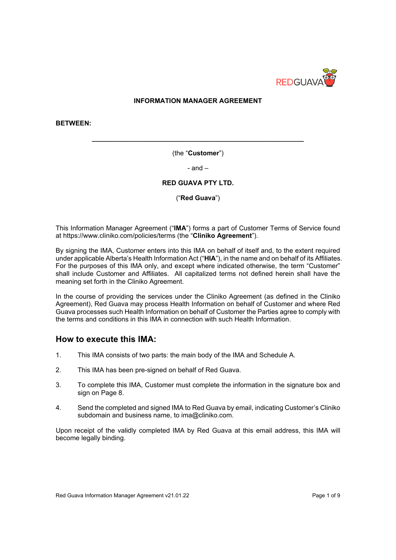

#### **INFORMATION MANAGER AGREEMENT**

**BETWEEN:**

(the "**Customer**")

**\_\_\_\_\_\_\_\_\_\_\_\_\_\_\_\_\_\_\_\_\_\_\_\_\_\_\_\_\_\_\_\_\_\_\_\_\_\_\_\_\_\_\_\_\_\_\_\_\_\_\_\_\_\_\_\_\_**

- and –

#### **RED GUAVA PTY LTD.**

("**Red Guava**")

This Information Manager Agreement ("**IMA**") forms a part of Customer Terms of Service found at https://www.cliniko.com/policies/terms (the "**Cliniko Agreement**").

By signing the IMA, Customer enters into this IMA on behalf of itself and, to the extent required under applicable Alberta's Health Information Act ("**HIA**"), in the name and on behalf of its Affiliates. For the purposes of this IMA only, and except where indicated otherwise, the term "Customer" shall include Customer and Affiliates. All capitalized terms not defined herein shall have the meaning set forth in the Cliniko Agreement.

In the course of providing the services under the Cliniko Agreement (as defined in the Cliniko Agreement), Red Guava may process Health Information on behalf of Customer and where Red Guava processes such Health Information on behalf of Customer the Parties agree to comply with the terms and conditions in this IMA in connection with such Health Information.

#### **How to execute this IMA:**

- 1. This IMA consists of two parts: the main body of the IMA and Schedule A.
- 2. This IMA has been pre-signed on behalf of Red Guava.
- 3. To complete this IMA, Customer must complete the information in the signature box and sign on Page 8.
- 4. Send the completed and signed IMA to Red Guava by email, indicating Customer's Cliniko subdomain and business name, to ima@cliniko.com.

Upon receipt of the validly completed IMA by Red Guava at this email address, this IMA will become legally binding.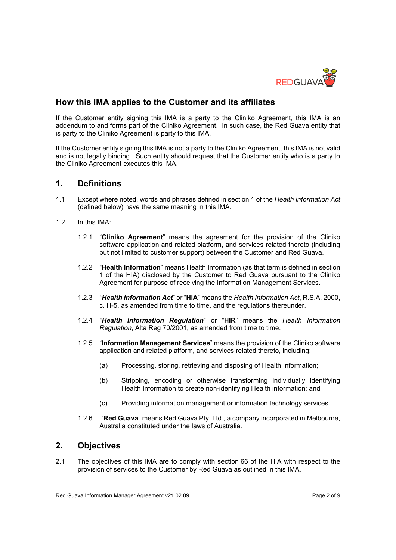

# **How this IMA applies to the Customer and its affiliates**

If the Customer entity signing this IMA is a party to the Cliniko Agreement, this IMA is an addendum to and forms part of the Cliniko Agreement. In such case, the Red Guava entity that is party to the Cliniko Agreement is party to this IMA.

If the Customer entity signing this IMA is not a party to the Cliniko Agreement, this IMA is not valid and is not legally binding. Such entity should request that the Customer entity who is a party to the Cliniko Agreement executes this IMA.

# **1. Definitions**

- 1.1 Except where noted, words and phrases defined in section 1 of the *Health Information Act* (defined below) have the same meaning in this IMA.
- 1.2 In this IMA:
	- 1.2.1 "**Cliniko Agreement**" means the agreement for the provision of the Cliniko software application and related platform, and services related thereto (including but not limited to customer support) between the Customer and Red Guava.
	- 1.2.2 "**Health Information**" means Health Information (as that term is defined in section 1 of the HIA) disclosed by the Customer to Red Guava pursuant to the Cliniko Agreement for purpose of receiving the Information Management Services.
	- 1.2.3 "*Health Information Act*" or "**HIA**" means the *Health Information Act*, R.S.A. 2000, c. H-5, as amended from time to time, and the regulations thereunder.
	- 1.2.4 "*Health Information Regulation*" or "**HIR**" means the *Health Information Regulation*, Alta Reg 70/2001, as amended from time to time.
	- 1.2.5 "**Information Management Services**" means the provision of the Cliniko software application and related platform, and services related thereto, including:
		- (a) Processing, storing, retrieving and disposing of Health Information;
		- (b) Stripping, encoding or otherwise transforming individually identifying Health Information to create non-identifying Health information; and
		- (c) Providing information management or information technology services.
	- 1.2.6 "**Red Guava**" means Red Guava Pty. Ltd., a company incorporated in Melbourne, Australia constituted under the laws of Australia.

# **2. Objectives**

2.1 The objectives of this IMA are to comply with section 66 of the HIA with respect to the provision of services to the Customer by Red Guava as outlined in this IMA.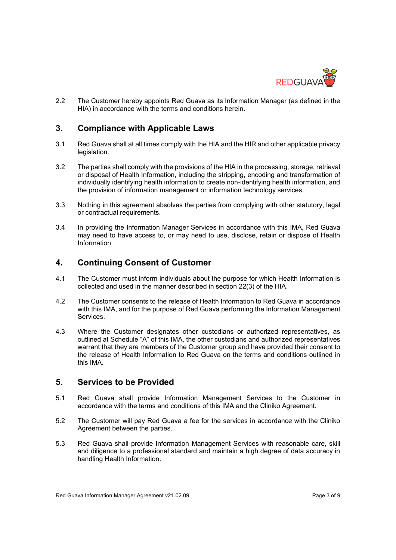

2.2 The Customer hereby appoints Red Guava as its Information Manager (as defined in the HIA) in accordance with the terms and conditions herein.

# **3. Compliance with Applicable Laws**

- 3.1 Red Guava shall at all times comply with the HIA and the HIR and other applicable privacy legislation.
- 3.2 The parties shall comply with the provisions of the HIA in the processing, storage, retrieval or disposal of Health Information, including the stripping, encoding and transformation of individually identifying health information to create non-identifying health information, and the provision of information management or information technology services.
- 3.3 Nothing in this agreement absolves the parties from complying with other statutory, legal or contractual requirements.
- 3.4 In providing the Information Manager Services in accordance with this IMA, Red Guava may need to have access to, or may need to use, disclose, retain or dispose of Health Information.

# **4. Continuing Consent of Customer**

- 4.1 The Customer must inform individuals about the purpose for which Health Information is collected and used in the manner described in section 22(3) of the HIA.
- 4.2 The Customer consents to the release of Health Information to Red Guava in accordance with this IMA, and for the purpose of Red Guava performing the Information Management Services.
- 4.3 Where the Customer designates other custodians or authorized representatives, as outlined at Schedule "A" of this IMA, the other custodians and authorized representatives warrant that they are members of the Customer group and have provided their consent to the release of Health Information to Red Guava on the terms and conditions outlined in this IMA.

# **5. Services to be Provided**

- 5.1 Red Guava shall provide Information Management Services to the Customer in accordance with the terms and conditions of this IMA and the Cliniko Agreement.
- 5.2 The Customer will pay Red Guava a fee for the services in accordance with the Cliniko Agreement between the parties.
- 5.3 Red Guava shall provide Information Management Services with reasonable care, skill and diligence to a professional standard and maintain a high degree of data accuracy in handling Health Information.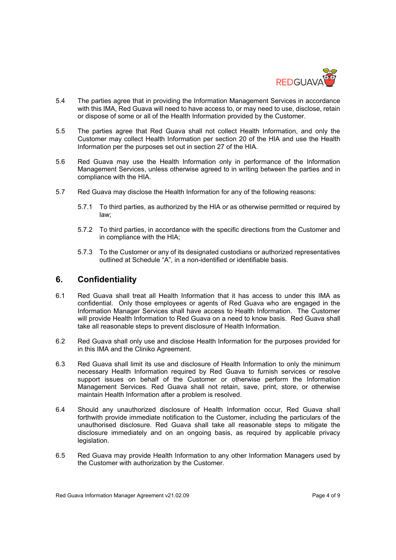

- 5.4 The parties agree that in providing the Information Management Services in accordance with this IMA, Red Guava will need to have access to, or may need to use, disclose, retain or dispose of some or all of the Health Information provided by the Customer.
- 5.5 The parties agree that Red Guava shall not collect Health Information, and only the Customer may collect Health Information per section 20 of the HIA and use the Health Information per the purposes set out in section 27 of the HIA.
- 5.6 Red Guava may use the Health Information only in performance of the Information Management Services, unless otherwise agreed to in writing between the parties and in compliance with the HIA.
- 5.7 Red Guava may disclose the Health Information for any of the following reasons:
	- 5.7.1 To third parties, as authorized by the HIA or as otherwise permitted or required by law;
	- 5.7.2 To third parties, in accordance with the specific directions from the Customer and in compliance with the HIA;
	- 5.7.3 To the Customer or any of its designated custodians or authorized representatives outlined at Schedule "A", in a non-identified or identifiable basis.

### **6. Confidentiality**

- 6.1 Red Guava shall treat all Health Information that it has access to under this IMA as confidential. Only those employees or agents of Red Guava who are engaged in the Information Manager Services shall have access to Health Information. The Customer will provide Health Information to Red Guava on a need to know basis. Red Guava shall take all reasonable steps to prevent disclosure of Health Information.
- 6.2 Red Guava shall only use and disclose Health Information for the purposes provided for in this IMA and the Cliniko Agreement.
- 6.3 Red Guava shall limit its use and disclosure of Health Information to only the minimum necessary Health Information required by Red Guava to furnish services or resolve support issues on behalf of the Customer or otherwise perform the Information Management Services. Red Guava shall not retain, save, print, store, or otherwise maintain Health Information after a problem is resolved.
- 6.4 Should any unauthorized disclosure of Health Information occur, Red Guava shall forthwith provide immediate notification to the Customer, including the particulars of the unauthorised disclosure. Red Guava shall take all reasonable steps to mitigate the disclosure immediately and on an ongoing basis, as required by applicable privacy legislation.
- 6.5 Red Guava may provide Health Information to any other Information Managers used by the Customer with authorization by the Customer.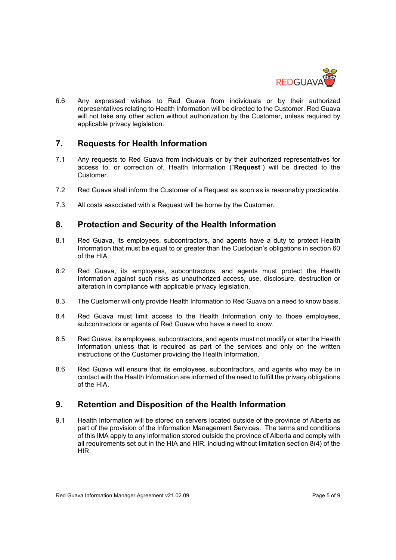

6.6 Any expressed wishes to Red Guava from individuals or by their authorized representatives relating to Health Information will be directed to the Customer. Red Guava will not take any other action without authorization by the Customer, unless required by applicable privacy legislation.

### **7. Requests for Health Information**

- 7.1 Any requests to Red Guava from individuals or by their authorized representatives for access to, or correction of, Health Information ("**Request**") will be directed to the Customer.
- 7.2 Red Guava shall inform the Customer of a Request as soon as is reasonably practicable.
- 7.3 All costs associated with a Request will be borne by the Customer.

# **8. Protection and Security of the Health Information**

- 8.1 Red Guava, its employees, subcontractors, and agents have a duty to protect Health Information that must be equal to or greater than the Custodian's obligations in section 60 of the HIA.
- 8.2 Red Guava, its employees, subcontractors, and agents must protect the Health Information against such risks as unauthorized access, use, disclosure, destruction or alteration in compliance with applicable privacy legislation.
- 8.3 The Customer will only provide Health Information to Red Guava on a need to know basis.
- 8.4 Red Guava must limit access to the Health Information only to those employees, subcontractors or agents of Red Guava who have a need to know.
- 8.5 Red Guava, its employees, subcontractors, and agents must not modify or alter the Health Information unless that is required as part of the services and only on the written instructions of the Customer providing the Health Information.
- 8.6 Red Guava will ensure that its employees, subcontractors, and agents who may be in contact with the Health Information are informed of the need to fulfill the privacy obligations of the HIA.

# **9. Retention and Disposition of the Health Information**

9.1 Health Information will be stored on servers located outside of the province of Alberta as part of the provision of the Information Management Services. The terms and conditions of this IMA apply to any information stored outside the province of Alberta and comply with all requirements set out in the HIA and HIR, including without limitation section 8(4) of the HIR.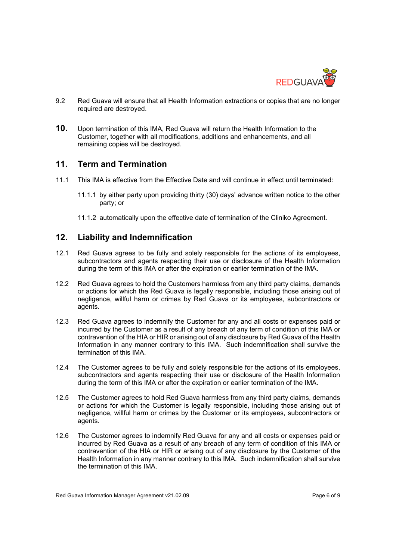

- 9.2 Red Guava will ensure that all Health Information extractions or copies that are no longer required are destroyed.
- **10.** Upon termination of this IMA, Red Guava will return the Health Information to the Customer, together with all modifications, additions and enhancements, and all remaining copies will be destroyed.

#### **11. Term and Termination**

- 11.1 This IMA is effective from the Effective Date and will continue in effect until terminated:
	- 11.1.1 by either party upon providing thirty (30) days' advance written notice to the other party; or
	- 11.1.2 automatically upon the effective date of termination of the Cliniko Agreement.

# **12. Liability and Indemnification**

- 12.1 Red Guava agrees to be fully and solely responsible for the actions of its employees, subcontractors and agents respecting their use or disclosure of the Health Information during the term of this IMA or after the expiration or earlier termination of the IMA.
- 12.2 Red Guava agrees to hold the Customers harmless from any third party claims, demands or actions for which the Red Guava is legally responsible, including those arising out of negligence, willful harm or crimes by Red Guava or its employees, subcontractors or agents.
- 12.3 Red Guava agrees to indemnify the Customer for any and all costs or expenses paid or incurred by the Customer as a result of any breach of any term of condition of this IMA or contravention of the HIA or HIR or arising out of any disclosure by Red Guava of the Health Information in any manner contrary to this IMA. Such indemnification shall survive the termination of this IMA.
- 12.4 The Customer agrees to be fully and solely responsible for the actions of its employees, subcontractors and agents respecting their use or disclosure of the Health Information during the term of this IMA or after the expiration or earlier termination of the IMA.
- 12.5 The Customer agrees to hold Red Guava harmless from any third party claims, demands or actions for which the Customer is legally responsible, including those arising out of negligence, willful harm or crimes by the Customer or its employees, subcontractors or agents.
- 12.6 The Customer agrees to indemnify Red Guava for any and all costs or expenses paid or incurred by Red Guava as a result of any breach of any term of condition of this IMA or contravention of the HIA or HIR or arising out of any disclosure by the Customer of the Health Information in any manner contrary to this IMA. Such indemnification shall survive the termination of this IMA.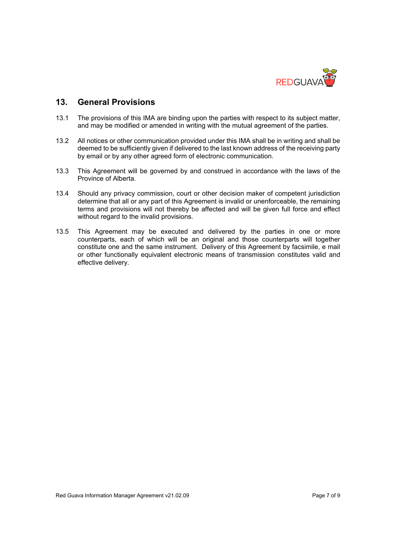

### **13. General Provisions**

- 13.1 The provisions of this IMA are binding upon the parties with respect to its subject matter, and may be modified or amended in writing with the mutual agreement of the parties.
- 13.2 All notices or other communication provided under this IMA shall be in writing and shall be deemed to be sufficiently given if delivered to the last known address of the receiving party by email or by any other agreed form of electronic communication.
- 13.3 This Agreement will be governed by and construed in accordance with the laws of the Province of Alberta.
- 13.4 Should any privacy commission, court or other decision maker of competent jurisdiction determine that all or any part of this Agreement is invalid or unenforceable, the remaining terms and provisions will not thereby be affected and will be given full force and effect without regard to the invalid provisions.
- 13.5 This Agreement may be executed and delivered by the parties in one or more counterparts, each of which will be an original and those counterparts will together constitute one and the same instrument. Delivery of this Agreement by facsimile, e mail or other functionally equivalent electronic means of transmission constitutes valid and effective delivery.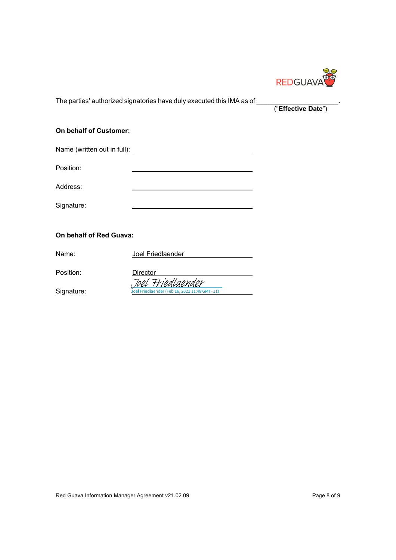

The parties' authorized signatories have duly executed this IMA as of **\_\_\_\_\_\_\_\_\_\_\_\_\_\_\_\_\_\_\_\_\_\_.**

("**Effective Date**")

#### **On behalf of Customer:**

| Name (written out in full): <u>www.governorm</u> |  |
|--------------------------------------------------|--|
| Position:                                        |  |
| Address:                                         |  |
| Signature:                                       |  |

#### **On behalf of Red Guava:**

| Name:      | Joel Friedlaender                                                  |
|------------|--------------------------------------------------------------------|
| Position:  | Director                                                           |
| Signature: | Joel Friedlaender<br>Joel Friedlaender (Feb 16, 2021 11:48 GMT+11) |